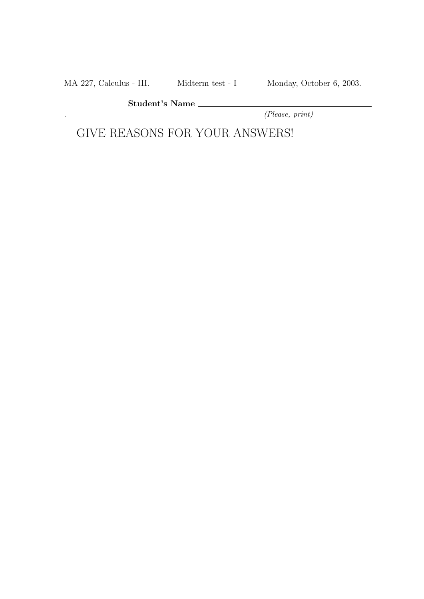MA 227, Calculus - III. Midterm test - I Monday, October 6, 2003.

Student's Name

. (Please, print)

GIVE REASONS FOR YOUR ANSWERS!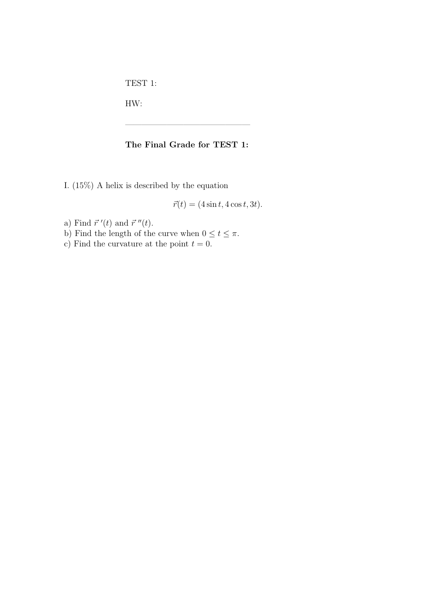TEST 1:

HW:

## The Final Grade for TEST 1:

———————————————

I. (15%) A helix is described by the equation

 $\vec{r}(t) = (4 \sin t, 4 \cos t, 3t).$ 

- a) Find  $\vec{r}^{\prime}(t)$  and  $\vec{r}^{\prime\prime}(t)$ .
- b) Find the length of the curve when  $0 \le t \le \pi$ .
- c) Find the curvature at the point  $t = 0$ .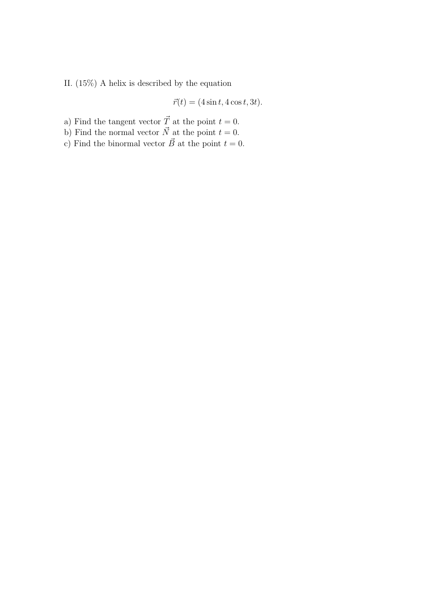II. (15%) A helix is described by the equation

$$
\vec{r}(t) = (4\sin t, 4\cos t, 3t).
$$

- a) Find the tangent vector  $\vec{T}$  at the point  $t = 0$ .
- b) Find the normal vector  $\vec{N}$  at the point  $t = 0$ .
- c) Find the binormal vector  $\vec{B}$  at the point  $t = 0$ .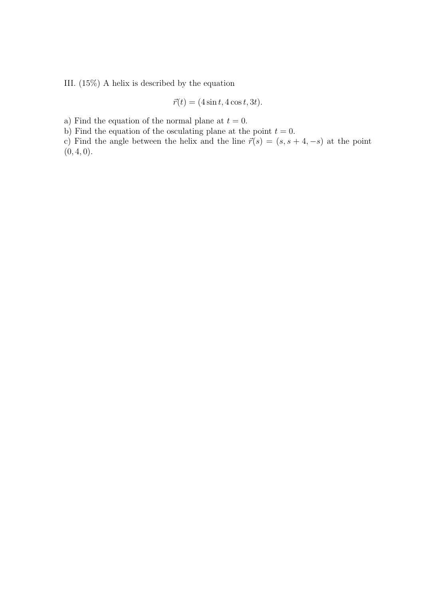III. (15%) A helix is described by the equation

$$
\vec{r}(t) = (4\sin t, 4\cos t, 3t).
$$

a) Find the equation of the normal plane at  $t = 0$ .

b) Find the equation of the osculating plane at the point  $t = 0$ .

c) Find the angle between the helix and the line  $\vec{r}(s) = (s, s + 4, -s)$  at the point  $(0, 4, 0).$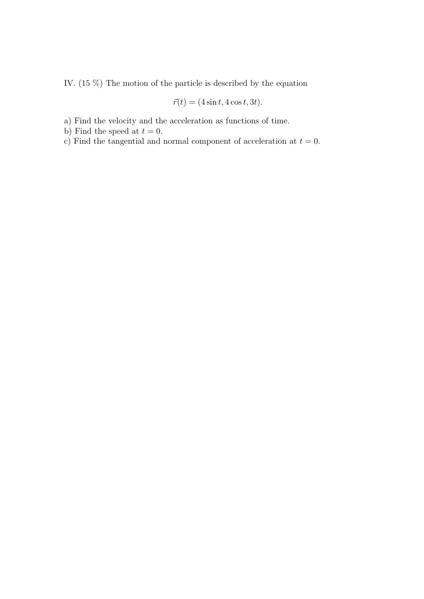IV. (15 %) The motion of the particle is described by the equation

$$
\vec{r}(t) = (4\sin t, 4\cos t, 3t).
$$

- a) Find the velocity and the acceleration as functions of time.
- b) Find the speed at  $t = 0$ .
- c) Find the tangential and normal component of acceleration at  $t = 0$ .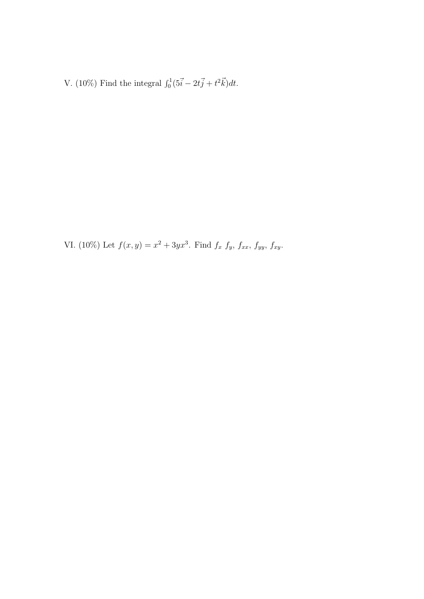V. (10%) Find the integral  $\int_0^1 (5\vec{i} - 2t\vec{j} + t^2\vec{k})dt$ .

VI. (10%) Let  $f(x,y) = x^2 + 3yx^3$ . Find  $f_x f_y, f_{xx}, f_{yy}, f_{xy}$ .